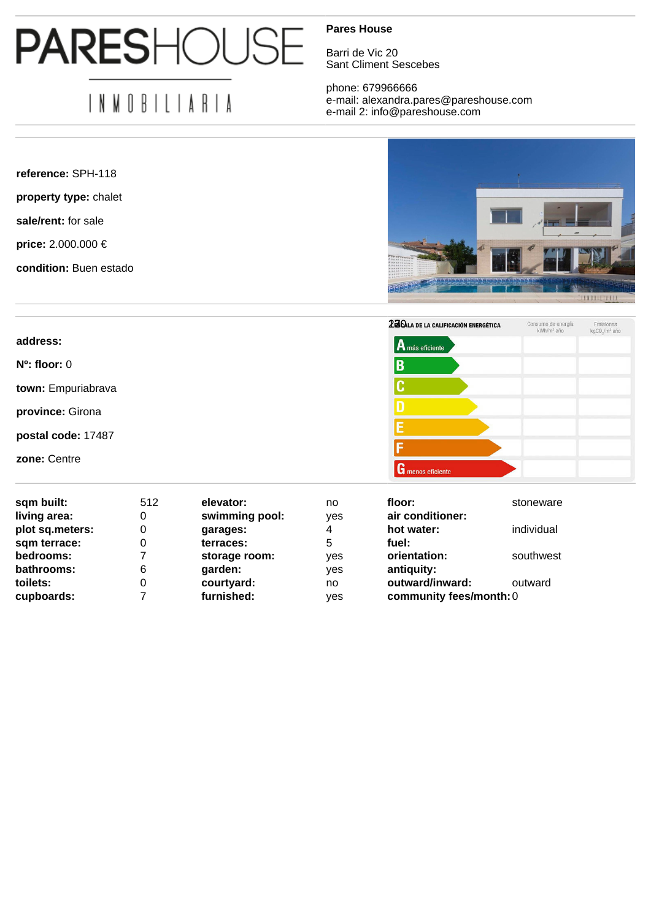## **PARESHOUS**

## IN MOBILIARIA

**reference:** SPH-118

**property type:** chalet

**sale/rent:** for sale

**price:** 2.000.000 €

**condition:** Buen estado

## **Pares House**

Barri de Vic 20 Sant Climent Sescebes

phone: 679966666 e-mail: alexandra.pares@pareshouse.com e-mail 2: info@pareshouse.com



|                    | 23 CALA DE LA CALIFICACIÓN ENERGÉTICA | Consumo de energía<br>kWh/m <sup>2</sup> año | Emisiones<br>kgCO <sub>2</sub> /m <sup>2</sup> año |
|--------------------|---------------------------------------|----------------------------------------------|----------------------------------------------------|
| address:           | $ {\bf A}$ más eficiente              |                                              |                                                    |
| $N^o$ : floor: $0$ | ΙB                                    |                                              |                                                    |
| town: Empuriabrava |                                       |                                              |                                                    |
| province: Girona   |                                       |                                              |                                                    |
| postal code: 17487 |                                       |                                              |                                                    |
| zone: Centre       |                                       |                                              |                                                    |
|                    | G menos eficiente                     |                                              |                                                    |

| sqm built:      | 512 | elevator:      | no  | floor:                  | stoneware  |
|-----------------|-----|----------------|-----|-------------------------|------------|
| living area:    | 0   | swimming pool: | ves | air conditioner:        |            |
| plot sq.meters: | 0   | garages:       | 4   | hot water:              | individual |
| sqm terrace:    | 0   | terraces:      | 5   | fuel:                   |            |
| bedrooms:       |     | storage room:  | yes | orientation:            | southwest  |
| bathrooms:      | 6   | garden:        | yes | antiquity:              |            |
| toilets:        | 0   | courtyard:     | no  | outward/inward:         | outward    |
| cupboards:      |     | furnished:     | yes | community fees/month: 0 |            |